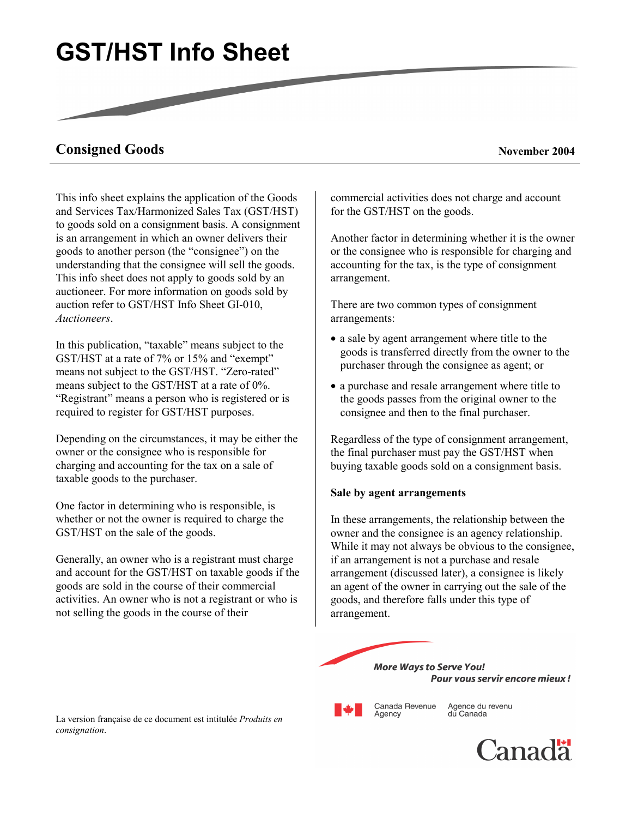# **GST/HST Info Sheet**

# **Consigned Goods** November 2004

This info sheet explains the application of the Goods and Services Tax/Harmonized Sales Tax (GST/HST) to goods sold on a consignment basis. A consignment is an arrangement in which an owner delivers their goods to another person (the "consignee") on the understanding that the consignee will sell the goods. This info sheet does not apply to goods sold by an auctioneer. For more information on goods sold by auction refer to GST/HST Info Sheet GI-010, *Auctioneers*.

In this publication, "taxable" means subject to the GST/HST at a rate of 7% or 15% and "exempt" means not subject to the GST/HST. "Zero-rated" means subject to the GST/HST at a rate of 0%. "Registrant" means a person who is registered or is required to register for GST/HST purposes.

Depending on the circumstances, it may be either the owner or the consignee who is responsible for charging and accounting for the tax on a sale of taxable goods to the purchaser.

One factor in determining who is responsible, is whether or not the owner is required to charge the GST/HST on the sale of the goods.

Generally, an owner who is a registrant must charge and account for the GST/HST on taxable goods if the goods are sold in the course of their commercial activities. An owner who is not a registrant or who is not selling the goods in the course of their

commercial activities does not charge and account for the GST/HST on the goods.

Another factor in determining whether it is the owner or the consignee who is responsible for charging and accounting for the tax, is the type of consignment arrangement.

There are two common types of consignment arrangements:

- a sale by agent arrangement where title to the goods is transferred directly from the owner to the purchaser through the consignee as agent; or
- a purchase and resale arrangement where title to the goods passes from the original owner to the consignee and then to the final purchaser.

Regardless of the type of consignment arrangement, the final purchaser must pay the GST/HST when buying taxable goods sold on a consignment basis.

#### **Sale by agent arrangements**

In these arrangements, the relationship between the owner and the consignee is an agency relationship. While it may not always be obvious to the consignee, if an arrangement is not a purchase and resale arrangement (discussed later), a consignee is likely an agent of the owner in carrying out the sale of the goods, and therefore falls under this type of arrangement.



Agency

Agence du revenu Canada Revenue du Canada

La version française de ce document est intitulée *Produits en consignation*.

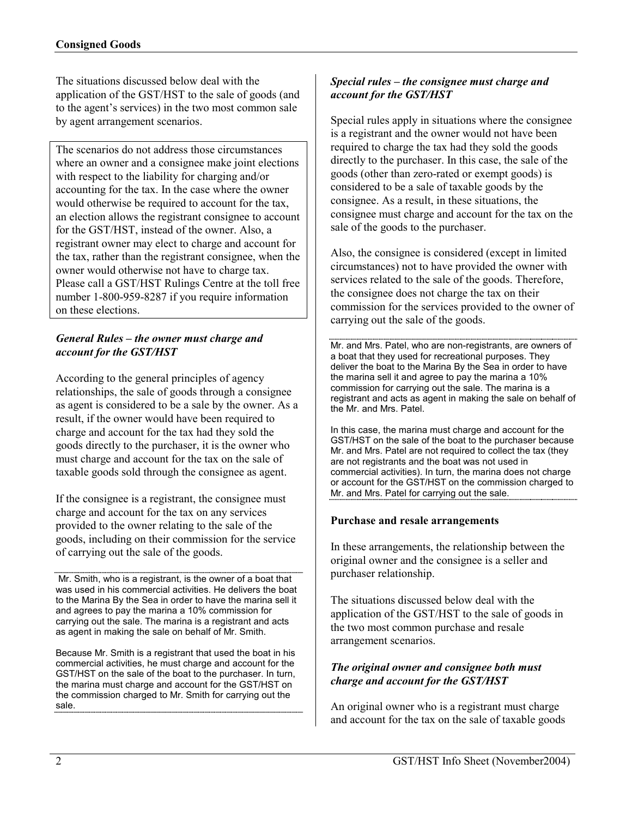The situations discussed below deal with the application of the GST/HST to the sale of goods (and to the agent's services) in the two most common sale by agent arrangement scenarios.

The scenarios do not address those circumstances where an owner and a consignee make joint elections with respect to the liability for charging and/or accounting for the tax. In the case where the owner would otherwise be required to account for the tax, an election allows the registrant consignee to account for the GST/HST, instead of the owner. Also, a registrant owner may elect to charge and account for the tax, rather than the registrant consignee, when the owner would otherwise not have to charge tax. Please call a GST/HST Rulings Centre at the toll free number 1-800-959-8287 if you require information on these elections.

## *General Rules – the owner must charge and account for the GST/HST*

According to the general principles of agency relationships, the sale of goods through a consignee as agent is considered to be a sale by the owner. As a result, if the owner would have been required to charge and account for the tax had they sold the goods directly to the purchaser, it is the owner who must charge and account for the tax on the sale of taxable goods sold through the consignee as agent.

If the consignee is a registrant, the consignee must charge and account for the tax on any services provided to the owner relating to the sale of the goods, including on their commission for the service of carrying out the sale of the goods.

 Mr. Smith, who is a registrant, is the owner of a boat that was used in his commercial activities. He delivers the boat to the Marina By the Sea in order to have the marina sell it and agrees to pay the marina a 10% commission for carrying out the sale. The marina is a registrant and acts as agent in making the sale on behalf of Mr. Smith.

Because Mr. Smith is a registrant that used the boat in his commercial activities, he must charge and account for the GST/HST on the sale of the boat to the purchaser. In turn, the marina must charge and account for the GST/HST on the commission charged to Mr. Smith for carrying out the sale.

### *Special rules – the consignee must charge and account for the GST/HST*

Special rules apply in situations where the consignee is a registrant and the owner would not have been required to charge the tax had they sold the goods directly to the purchaser. In this case, the sale of the goods (other than zero-rated or exempt goods) is considered to be a sale of taxable goods by the consignee. As a result, in these situations, the consignee must charge and account for the tax on the sale of the goods to the purchaser.

Also, the consignee is considered (except in limited circumstances) not to have provided the owner with services related to the sale of the goods. Therefore, the consignee does not charge the tax on their commission for the services provided to the owner of carrying out the sale of the goods.

Mr. and Mrs. Patel, who are non-registrants, are owners of a boat that they used for recreational purposes. They deliver the boat to the Marina By the Sea in order to have the marina sell it and agree to pay the marina a 10% commission for carrying out the sale. The marina is a registrant and acts as agent in making the sale on behalf of the Mr. and Mrs. Patel.

In this case, the marina must charge and account for the GST/HST on the sale of the boat to the purchaser because Mr. and Mrs. Patel are not required to collect the tax (they are not registrants and the boat was not used in commercial activities). In turn, the marina does not charge or account for the GST/HST on the commission charged to Mr. and Mrs. Patel for carrying out the sale.

#### **Purchase and resale arrangements**

In these arrangements, the relationship between the original owner and the consignee is a seller and purchaser relationship.

The situations discussed below deal with the application of the GST/HST to the sale of goods in the two most common purchase and resale arrangement scenarios.

#### *The original owner and consignee both must charge and account for the GST/HST*

An original owner who is a registrant must charge and account for the tax on the sale of taxable goods